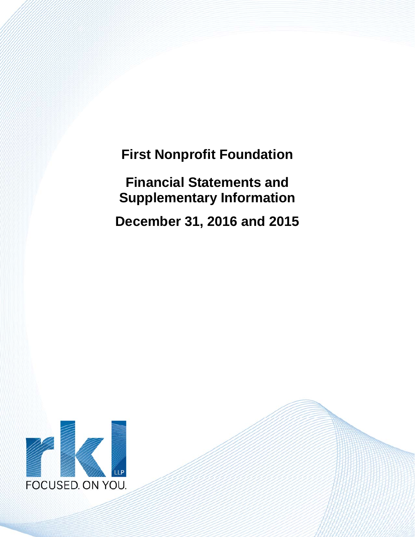**Financial Statements and Supplementary Information** 

**December 31, 2016 and 2015** 

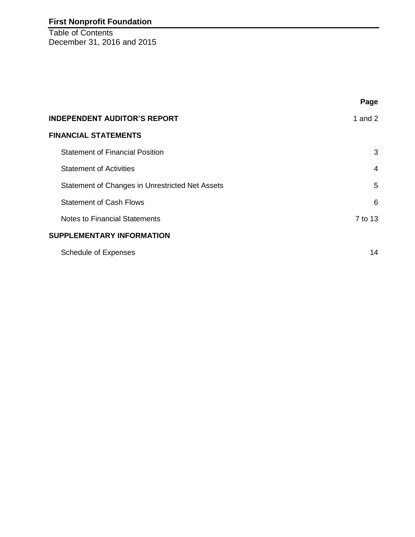Table of Contents December 31, 2016 and 2015

|                                                 | Page      |
|-------------------------------------------------|-----------|
| <b>INDEPENDENT AUDITOR'S REPORT</b>             | 1 and $2$ |
| <b>FINANCIAL STATEMENTS</b>                     |           |
| <b>Statement of Financial Position</b>          | 3         |
| <b>Statement of Activities</b>                  | 4         |
| Statement of Changes in Unrestricted Net Assets | 5         |
| <b>Statement of Cash Flows</b>                  | 6         |
| <b>Notes to Financial Statements</b>            | 7 to 13   |
| <b>SUPPLEMENTARY INFORMATION</b>                |           |
| <b>Schedule of Expenses</b>                     | 14        |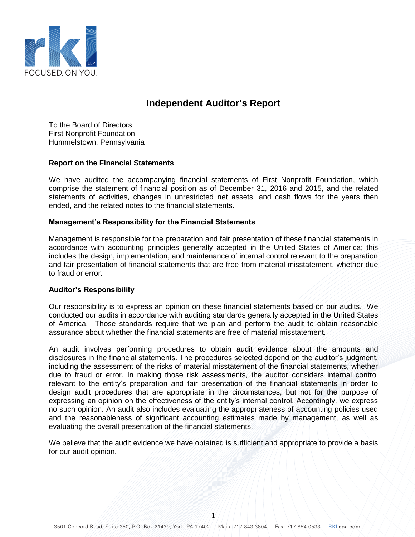

# **Independent Auditor's Report**

To the Board of Directors First Nonprofit Foundation Hummelstown, Pennsylvania

#### **Report on the Financial Statements**

We have audited the accompanying financial statements of First Nonprofit Foundation, which comprise the statement of financial position as of December 31, 2016 and 2015, and the related statements of activities, changes in unrestricted net assets, and cash flows for the years then ended, and the related notes to the financial statements.

#### **Management's Responsibility for the Financial Statements**

Management is responsible for the preparation and fair presentation of these financial statements in accordance with accounting principles generally accepted in the United States of America; this includes the design, implementation, and maintenance of internal control relevant to the preparation and fair presentation of financial statements that are free from material misstatement, whether due to fraud or error.

#### **Auditor's Responsibility**

Our responsibility is to express an opinion on these financial statements based on our audits. We conducted our audits in accordance with auditing standards generally accepted in the United States of America. Those standards require that we plan and perform the audit to obtain reasonable assurance about whether the financial statements are free of material misstatement.

An audit involves performing procedures to obtain audit evidence about the amounts and disclosures in the financial statements. The procedures selected depend on the auditor's judgment, including the assessment of the risks of material misstatement of the financial statements, whether due to fraud or error. In making those risk assessments, the auditor considers internal control relevant to the entity's preparation and fair presentation of the financial statements in order to design audit procedures that are appropriate in the circumstances, but not for the purpose of expressing an opinion on the effectiveness of the entity's internal control. Accordingly, we express no such opinion. An audit also includes evaluating the appropriateness of accounting policies used and the reasonableness of significant accounting estimates made by management, as well as evaluating the overall presentation of the financial statements.

We believe that the audit evidence we have obtained is sufficient and appropriate to provide a basis for our audit opinion.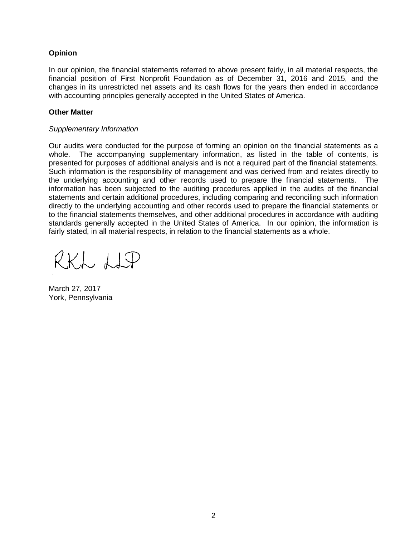### **Opinion**

In our opinion, the financial statements referred to above present fairly, in all material respects, the financial position of First Nonprofit Foundation as of December 31, 2016 and 2015, and the changes in its unrestricted net assets and its cash flows for the years then ended in accordance with accounting principles generally accepted in the United States of America.

#### **Other Matter**

#### *Supplementary Information*

Our audits were conducted for the purpose of forming an opinion on the financial statements as a whole. The accompanying supplementary information, as listed in the table of contents, is presented for purposes of additional analysis and is not a required part of the financial statements. Such information is the responsibility of management and was derived from and relates directly to the underlying accounting and other records used to prepare the financial statements. The information has been subjected to the auditing procedures applied in the audits of the financial statements and certain additional procedures, including comparing and reconciling such information directly to the underlying accounting and other records used to prepare the financial statements or to the financial statements themselves, and other additional procedures in accordance with auditing standards generally accepted in the United States of America. In our opinion, the information is fairly stated, in all material respects, in relation to the financial statements as a whole.

RKL LLP

March 27, 2017 York, Pennsylvania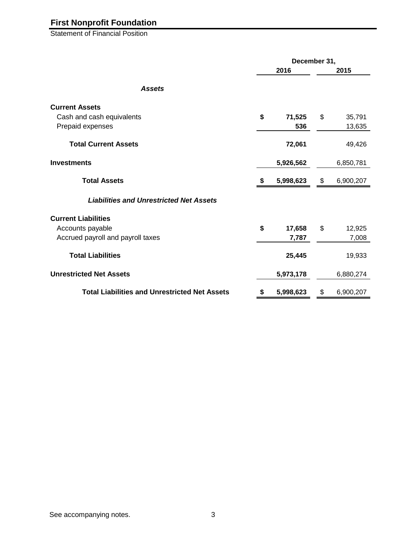Statement of Financial Position

|                                                       | December 31, |                 |    |                  |
|-------------------------------------------------------|--------------|-----------------|----|------------------|
|                                                       |              | 2016            |    | 2015             |
| <b>Assets</b>                                         |              |                 |    |                  |
| <b>Current Assets</b>                                 |              |                 |    |                  |
| Cash and cash equivalents<br>Prepaid expenses         | \$           | 71,525<br>536   | \$ | 35,791<br>13,635 |
| <b>Total Current Assets</b>                           |              | 72,061          |    | 49,426           |
| <b>Investments</b>                                    |              | 5,926,562       |    | 6,850,781        |
| <b>Total Assets</b>                                   | \$           | 5,998,623       | \$ | 6,900,207        |
| <b>Liabilities and Unrestricted Net Assets</b>        |              |                 |    |                  |
| <b>Current Liabilities</b>                            |              |                 |    |                  |
| Accounts payable<br>Accrued payroll and payroll taxes | \$           | 17,658<br>7,787 | \$ | 12,925<br>7,008  |
| <b>Total Liabilities</b>                              |              | 25,445          |    | 19,933           |
| <b>Unrestricted Net Assets</b>                        |              | 5,973,178       |    | 6,880,274        |
| <b>Total Liabilities and Unrestricted Net Assets</b>  | \$           | 5,998,623       | \$ | 6,900,207        |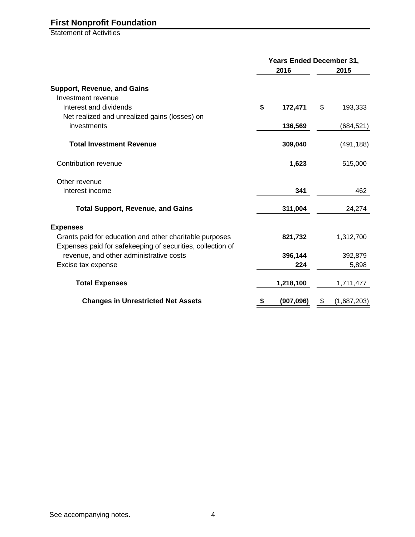Statement of Activities

|                                                            |    | 2016      | Years Ended December 31,<br>2015 |             |  |
|------------------------------------------------------------|----|-----------|----------------------------------|-------------|--|
| <b>Support, Revenue, and Gains</b>                         |    |           |                                  |             |  |
| Investment revenue                                         |    |           |                                  |             |  |
| Interest and dividends                                     | \$ | 172,471   | \$                               | 193,333     |  |
| Net realized and unrealized gains (losses) on              |    |           |                                  |             |  |
| investments                                                |    | 136,569   |                                  | (684, 521)  |  |
| <b>Total Investment Revenue</b>                            |    | 309,040   |                                  | (491, 188)  |  |
| Contribution revenue                                       |    | 1,623     |                                  | 515,000     |  |
| Other revenue                                              |    |           |                                  |             |  |
| Interest income                                            |    | 341       |                                  | 462         |  |
| <b>Total Support, Revenue, and Gains</b>                   |    | 311,004   |                                  | 24,274      |  |
| <b>Expenses</b>                                            |    |           |                                  |             |  |
| Grants paid for education and other charitable purposes    |    | 821,732   |                                  | 1,312,700   |  |
| Expenses paid for safekeeping of securities, collection of |    |           |                                  |             |  |
| revenue, and other administrative costs                    |    | 396,144   |                                  | 392,879     |  |
| Excise tax expense                                         |    | 224       |                                  | 5,898       |  |
| <b>Total Expenses</b>                                      |    | 1,218,100 |                                  | 1,711,477   |  |
| <b>Changes in Unrestricted Net Assets</b>                  | S  | (907,096) | \$                               | (1,687,203) |  |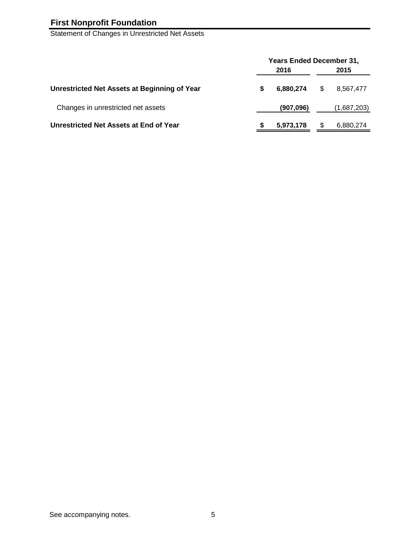Statement of Changes in Unrestricted Net Assets

|                                              |   | <b>Years Ended December 31,</b><br>2016 |   | 2015        |
|----------------------------------------------|---|-----------------------------------------|---|-------------|
| Unrestricted Net Assets at Beginning of Year | S | 6,880,274                               | S | 8,567,477   |
| Changes in unrestricted net assets           |   | (907,096)                               |   | (1,687,203) |
| Unrestricted Net Assets at End of Year       |   | 5,973,178                               |   | 6,880,274   |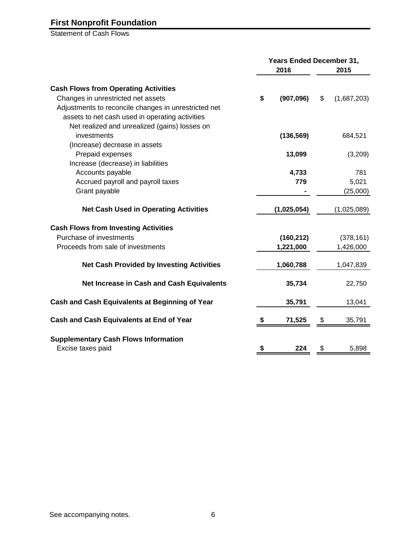Statement of Cash Flows

|                                                      | <b>Years Ended December 31,</b><br>2016 | 2015        |                   |
|------------------------------------------------------|-----------------------------------------|-------------|-------------------|
| <b>Cash Flows from Operating Activities</b>          |                                         |             |                   |
| Changes in unrestricted net assets                   | \$                                      | (907,096)   | \$<br>(1,687,203) |
| Adjustments to reconcile changes in unrestricted net |                                         |             |                   |
| assets to net cash used in operating activities      |                                         |             |                   |
| Net realized and unrealized (gains) losses on        |                                         |             |                   |
| investments                                          |                                         | (136, 569)  | 684,521           |
| (Increase) decrease in assets                        |                                         |             |                   |
| Prepaid expenses                                     |                                         | 13,099      | (3,209)           |
| Increase (decrease) in liabilities                   |                                         |             |                   |
| Accounts payable                                     |                                         | 4,733       | 781               |
| Accrued payroll and payroll taxes                    |                                         | 779         | 5,021             |
| Grant payable                                        |                                         |             | (25,000)          |
| <b>Net Cash Used in Operating Activities</b>         |                                         | (1,025,054) | (1,025,089)       |
| <b>Cash Flows from Investing Activities</b>          |                                         |             |                   |
| Purchase of investments                              |                                         | (160, 212)  | (378, 161)        |
| Proceeds from sale of investments                    |                                         | 1,221,000   | 1,426,000         |
| <b>Net Cash Provided by Investing Activities</b>     |                                         | 1,060,788   | 1,047,839         |
| Net Increase in Cash and Cash Equivalents            |                                         | 35,734      | 22,750            |
| Cash and Cash Equivalents at Beginning of Year       |                                         | 35,791      | 13,041            |
| <b>Cash and Cash Equivalents at End of Year</b>      |                                         | 71,525      | \$<br>35,791      |
| <b>Supplementary Cash Flows Information</b>          |                                         |             |                   |
| Excise taxes paid                                    | \$                                      | 224         | \$<br>5,898       |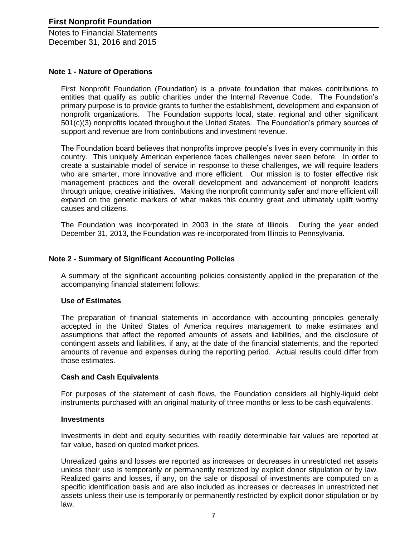#### **Note 1 - Nature of Operations**

First Nonprofit Foundation (Foundation) is a private foundation that makes contributions to entities that qualify as public charities under the Internal Revenue Code. The Foundation's primary purpose is to provide grants to further the establishment, development and expansion of nonprofit organizations. The Foundation supports local, state, regional and other significant 501(c)(3) nonprofits located throughout the United States. The Foundation's primary sources of support and revenue are from contributions and investment revenue.

The Foundation board believes that nonprofits improve people's lives in every community in this country. This uniquely American experience faces challenges never seen before. In order to create a sustainable model of service in response to these challenges, we will require leaders who are smarter, more innovative and more efficient. Our mission is to foster effective risk management practices and the overall development and advancement of nonprofit leaders through unique, creative initiatives. Making the nonprofit community safer and more efficient will expand on the genetic markers of what makes this country great and ultimately uplift worthy causes and citizens.

The Foundation was incorporated in 2003 in the state of Illinois. During the year ended December 31, 2013, the Foundation was re-incorporated from Illinois to Pennsylvania.

### **Note 2 - Summary of Significant Accounting Policies**

A summary of the significant accounting policies consistently applied in the preparation of the accompanying financial statement follows:

#### **Use of Estimates**

The preparation of financial statements in accordance with accounting principles generally accepted in the United States of America requires management to make estimates and assumptions that affect the reported amounts of assets and liabilities, and the disclosure of contingent assets and liabilities, if any, at the date of the financial statements, and the reported amounts of revenue and expenses during the reporting period. Actual results could differ from those estimates.

#### **Cash and Cash Equivalents**

For purposes of the statement of cash flows, the Foundation considers all highly-liquid debt instruments purchased with an original maturity of three months or less to be cash equivalents.

#### **Investments**

Investments in debt and equity securities with readily determinable fair values are reported at fair value, based on quoted market prices.

Unrealized gains and losses are reported as increases or decreases in unrestricted net assets unless their use is temporarily or permanently restricted by explicit donor stipulation or by law. Realized gains and losses, if any, on the sale or disposal of investments are computed on a specific identification basis and are also included as increases or decreases in unrestricted net assets unless their use is temporarily or permanently restricted by explicit donor stipulation or by law.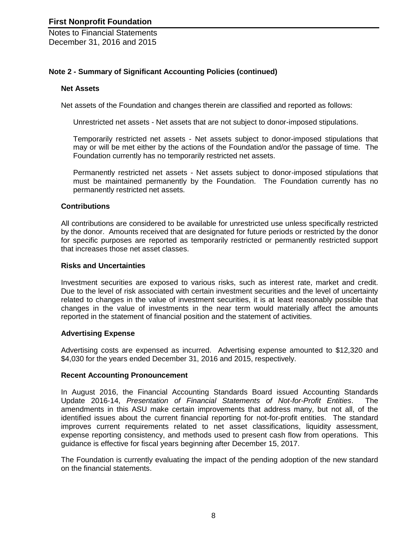### **Note 2 - Summary of Significant Accounting Policies (continued)**

#### **Net Assets**

Net assets of the Foundation and changes therein are classified and reported as follows:

Unrestricted net assets - Net assets that are not subject to donor-imposed stipulations.

Temporarily restricted net assets - Net assets subject to donor-imposed stipulations that may or will be met either by the actions of the Foundation and/or the passage of time. The Foundation currently has no temporarily restricted net assets.

Permanently restricted net assets - Net assets subject to donor-imposed stipulations that must be maintained permanently by the Foundation. The Foundation currently has no permanently restricted net assets.

#### **Contributions**

All contributions are considered to be available for unrestricted use unless specifically restricted by the donor. Amounts received that are designated for future periods or restricted by the donor for specific purposes are reported as temporarily restricted or permanently restricted support that increases those net asset classes.

#### **Risks and Uncertainties**

Investment securities are exposed to various risks, such as interest rate, market and credit. Due to the level of risk associated with certain investment securities and the level of uncertainty related to changes in the value of investment securities, it is at least reasonably possible that changes in the value of investments in the near term would materially affect the amounts reported in the statement of financial position and the statement of activities.

### **Advertising Expense**

Advertising costs are expensed as incurred. Advertising expense amounted to \$12,320 and \$4,030 for the years ended December 31, 2016 and 2015, respectively.

#### **Recent Accounting Pronouncement**

In August 2016, the Financial Accounting Standards Board issued Accounting Standards Update 2016-14, *Presentation of Financial Statements of Not-for-Profit Entities*. The amendments in this ASU make certain improvements that address many, but not all, of the identified issues about the current financial reporting for not-for-profit entities. The standard improves current requirements related to net asset classifications, liquidity assessment, expense reporting consistency, and methods used to present cash flow from operations. This guidance is effective for fiscal years beginning after December 15, 2017.

The Foundation is currently evaluating the impact of the pending adoption of the new standard on the financial statements.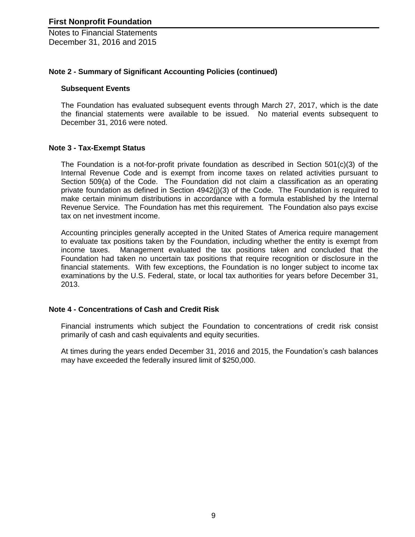### **Note 2 - Summary of Significant Accounting Policies (continued)**

#### **Subsequent Events**

The Foundation has evaluated subsequent events through March 27, 2017, which is the date the financial statements were available to be issued. No material events subsequent to December 31, 2016 were noted.

#### **Note 3 - Tax-Exempt Status**

The Foundation is a not-for-profit private foundation as described in Section  $501(c)(3)$  of the Internal Revenue Code and is exempt from income taxes on related activities pursuant to Section 509(a) of the Code. The Foundation did not claim a classification as an operating private foundation as defined in Section 4942(j)(3) of the Code. The Foundation is required to make certain minimum distributions in accordance with a formula established by the Internal Revenue Service. The Foundation has met this requirement. The Foundation also pays excise tax on net investment income.

Accounting principles generally accepted in the United States of America require management to evaluate tax positions taken by the Foundation, including whether the entity is exempt from income taxes. Management evaluated the tax positions taken and concluded that the Foundation had taken no uncertain tax positions that require recognition or disclosure in the financial statements. With few exceptions, the Foundation is no longer subject to income tax examinations by the U.S. Federal, state, or local tax authorities for years before December 31, 2013.

### **Note 4 - Concentrations of Cash and Credit Risk**

Financial instruments which subject the Foundation to concentrations of credit risk consist primarily of cash and cash equivalents and equity securities.

At times during the years ended December 31, 2016 and 2015, the Foundation's cash balances may have exceeded the federally insured limit of \$250,000.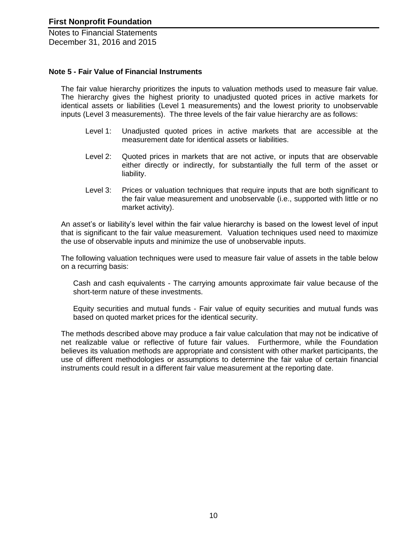#### **Note 5 - Fair Value of Financial Instruments**

The fair value hierarchy prioritizes the inputs to valuation methods used to measure fair value. The hierarchy gives the highest priority to unadjusted quoted prices in active markets for identical assets or liabilities (Level 1 measurements) and the lowest priority to unobservable inputs (Level 3 measurements). The three levels of the fair value hierarchy are as follows:

- Level 1: Unadjusted quoted prices in active markets that are accessible at the measurement date for identical assets or liabilities.
- Level 2: Quoted prices in markets that are not active, or inputs that are observable either directly or indirectly, for substantially the full term of the asset or liability.
- Level 3: Prices or valuation techniques that require inputs that are both significant to the fair value measurement and unobservable (i.e., supported with little or no market activity).

An asset's or liability's level within the fair value hierarchy is based on the lowest level of input that is significant to the fair value measurement. Valuation techniques used need to maximize the use of observable inputs and minimize the use of unobservable inputs.

The following valuation techniques were used to measure fair value of assets in the table below on a recurring basis:

Cash and cash equivalents - The carrying amounts approximate fair value because of the short-term nature of these investments.

Equity securities and mutual funds - Fair value of equity securities and mutual funds was based on quoted market prices for the identical security.

The methods described above may produce a fair value calculation that may not be indicative of net realizable value or reflective of future fair values. Furthermore, while the Foundation believes its valuation methods are appropriate and consistent with other market participants, the use of different methodologies or assumptions to determine the fair value of certain financial instruments could result in a different fair value measurement at the reporting date.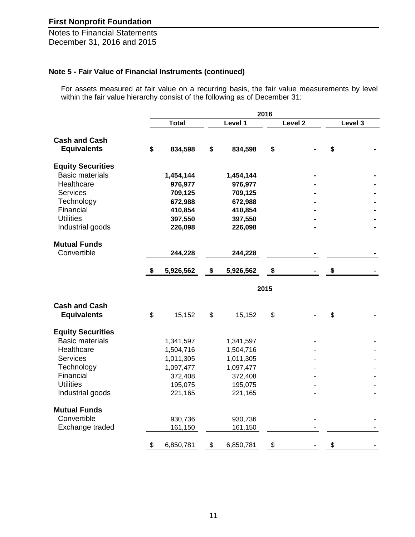Notes to Financial Statements December 31, 2016 and 2015

# **Note 5 - Fair Value of Financial Instruments (continued)**

For assets measured at fair value on a recurring basis, the fair value measurements by level within the fair value hierarchy consist of the following as of December 31:

|                                            |                 |                 | 2016 |                    |         |  |
|--------------------------------------------|-----------------|-----------------|------|--------------------|---------|--|
|                                            | <b>Total</b>    | Level 1         |      | Level <sub>2</sub> | Level 3 |  |
| <b>Cash and Cash</b><br><b>Equivalents</b> | \$<br>834,598   | \$<br>834,598   | \$   |                    | \$      |  |
| <b>Equity Securities</b>                   |                 |                 |      |                    |         |  |
| <b>Basic materials</b>                     | 1,454,144       | 1,454,144       |      |                    |         |  |
| Healthcare                                 | 976,977         | 976,977         |      |                    |         |  |
| <b>Services</b>                            | 709,125         | 709,125         |      |                    |         |  |
| Technology                                 | 672,988         | 672,988         |      |                    |         |  |
| Financial                                  | 410,854         | 410,854         |      |                    |         |  |
| <b>Utilities</b>                           | 397,550         | 397,550         |      |                    |         |  |
| Industrial goods                           | 226,098         | 226,098         |      |                    |         |  |
| <b>Mutual Funds</b>                        |                 |                 |      |                    |         |  |
| Convertible                                | 244,228         | 244,228         |      |                    |         |  |
|                                            | \$<br>5,926,562 | \$<br>5,926,562 | \$   |                    | \$      |  |
|                                            |                 |                 | 2015 |                    |         |  |
| <b>Cash and Cash</b>                       |                 |                 |      |                    |         |  |
| <b>Equivalents</b>                         | \$<br>15,152    | \$<br>15,152    | \$   |                    | \$      |  |
| <b>Equity Securities</b>                   |                 |                 |      |                    |         |  |
| <b>Basic materials</b>                     | 1,341,597       | 1,341,597       |      |                    |         |  |
| Healthcare                                 | 1,504,716       | 1,504,716       |      |                    |         |  |
| <b>Services</b>                            | 1,011,305       | 1,011,305       |      |                    |         |  |
| Technology                                 | 1,097,477       | 1,097,477       |      |                    |         |  |
| Financial                                  | 372,408         | 372,408         |      |                    |         |  |
| <b>Utilities</b>                           | 195,075         | 195,075         |      |                    |         |  |
| Industrial goods                           | 221,165         | 221,165         |      |                    |         |  |
| <b>Mutual Funds</b>                        |                 |                 |      |                    |         |  |
| Convertible                                | 930,736         | 930,736         |      |                    |         |  |
| Exchange traded                            | 161,150         | 161,150         |      |                    |         |  |
|                                            | \$<br>6,850,781 | \$<br>6,850,781 | \$   |                    | \$      |  |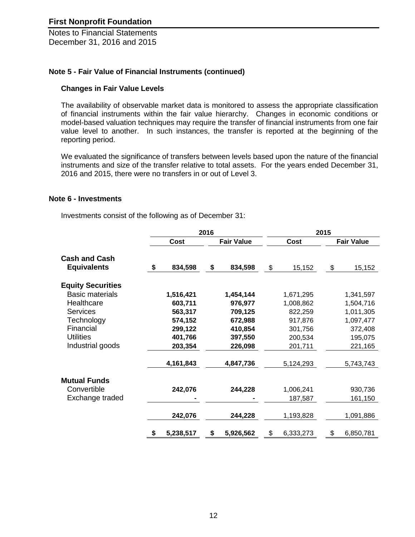### **Note 5 - Fair Value of Financial Instruments (continued)**

#### **Changes in Fair Value Levels**

The availability of observable market data is monitored to assess the appropriate classification of financial instruments within the fair value hierarchy. Changes in economic conditions or model-based valuation techniques may require the transfer of financial instruments from one fair value level to another. In such instances, the transfer is reported at the beginning of the reporting period.

We evaluated the significance of transfers between levels based upon the nature of the financial instruments and size of the transfer relative to total assets. For the years ended December 31, 2016 and 2015, there were no transfers in or out of Level 3.

#### **Note 6 - Investments**

Investments consist of the following as of December 31:

|                          |                 | 2016 |                   | 2015 |           |                   |           |  |  |
|--------------------------|-----------------|------|-------------------|------|-----------|-------------------|-----------|--|--|
|                          | Cost            |      | <b>Fair Value</b> |      | Cost      | <b>Fair Value</b> |           |  |  |
| <b>Cash and Cash</b>     |                 |      |                   |      |           |                   |           |  |  |
| <b>Equivalents</b>       | \$<br>834,598   | \$   | 834,598           | \$   | 15,152    | \$                | 15,152    |  |  |
| <b>Equity Securities</b> |                 |      |                   |      |           |                   |           |  |  |
| <b>Basic materials</b>   | 1,516,421       |      | 1,454,144         |      | 1,671,295 |                   | 1,341,597 |  |  |
| Healthcare               | 603,711         |      | 976,977           |      | 1,008,862 |                   | 1,504,716 |  |  |
| <b>Services</b>          | 563,317         |      | 709,125           |      | 822,259   |                   | 1,011,305 |  |  |
| Technology               | 574,152         |      | 672,988           |      | 917,876   |                   | 1,097,477 |  |  |
| Financial                | 299,122         |      | 410,854           |      | 301,756   |                   | 372,408   |  |  |
| <b>Utilities</b>         | 401,766         |      | 397,550           |      | 200,534   |                   | 195,075   |  |  |
| Industrial goods         | 203,354         |      | 226,098           |      | 201,711   |                   | 221,165   |  |  |
|                          | 4,161,843       |      | 4,847,736         |      | 5,124,293 |                   | 5,743,743 |  |  |
| <b>Mutual Funds</b>      |                 |      |                   |      |           |                   |           |  |  |
| Convertible              | 242,076         |      | 244,228           |      | 1,006,241 |                   | 930,736   |  |  |
| Exchange traded          |                 |      |                   |      | 187,587   |                   | 161,150   |  |  |
|                          | 242,076         |      | 244,228           |      | 1,193,828 |                   | 1,091,886 |  |  |
|                          | \$<br>5,238,517 | \$   | 5,926,562         | \$   | 6,333,273 | \$                | 6,850,781 |  |  |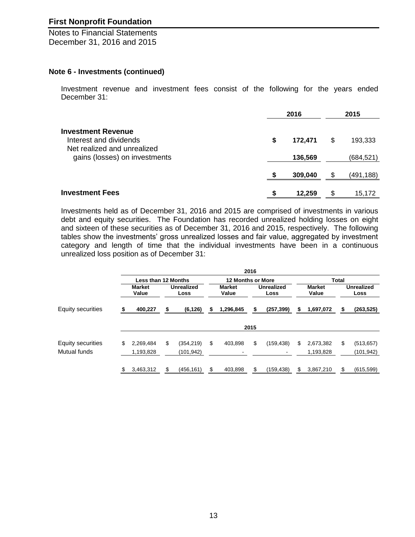Notes to Financial Statements December 31, 2016 and 2015

#### **Note 6 - Investments (continued)**

Investment revenue and investment fees consist of the following for the years ended December 31:

|                                                                                    |    | 2015    |     |            |
|------------------------------------------------------------------------------------|----|---------|-----|------------|
| <b>Investment Revenue</b><br>Interest and dividends<br>Net realized and unrealized | \$ | 172,471 | \$  | 193,333    |
| gains (losses) on investments                                                      |    | 136,569 |     | (684, 521) |
|                                                                                    | S  | 309,040 | S   | (491, 188) |
| <b>Investment Fees</b>                                                             |    | 12,259  | \$. | 15,172     |

Investments held as of December 31, 2016 and 2015 are comprised of investments in various debt and equity securities. The Foundation has recorded unrealized holding losses on eight and sixteen of these securities as of December 31, 2016 and 2015, respectively. The following tables show the investments' gross unrealized losses and fair value, aggregated by investment category and length of time that the individual investments have been in a continuous unrealized loss position as of December 31:

|                          |                            |    |                    |    |                          | 2016 |                           |    |                        |              |                                  |
|--------------------------|----------------------------|----|--------------------|----|--------------------------|------|---------------------------|----|------------------------|--------------|----------------------------------|
|                          | <b>Less than 12 Months</b> |    |                    |    | <b>12 Months or More</b> |      |                           |    |                        | <b>Total</b> |                                  |
|                          | <b>Market</b><br>Value     |    | Unrealized<br>Loss |    | <b>Market</b><br>Value   |      | <b>Unrealized</b><br>Loss |    | <b>Market</b><br>Value |              | <b>Unrealized</b><br><b>Loss</b> |
| <b>Equity securities</b> | 400,227                    | S  | (6, 126)           | S  | 1,296,845                |      | (257, 399)                | S  | 1,697,072              | S            | (263, 525)                       |
|                          |                            |    |                    |    |                          | 2015 |                           |    |                        |              |                                  |
| <b>Equity securities</b> | \$<br>2.269.484            | \$ | (354, 219)         | \$ | 403,898                  | \$   | (159, 438)                | \$ | 2,673,382              | \$           | (513, 657)                       |
| Mutual funds             | 1,193,828                  |    | (101,942)          |    |                          |      |                           |    | 1,193,828              |              | (101, 942)                       |
|                          | \$<br>3,463,312            |    | (456, 161)         |    | 403,898                  | \$.  | (159,438)                 | \$ | 3,867,210              | \$           | (615, 599)                       |